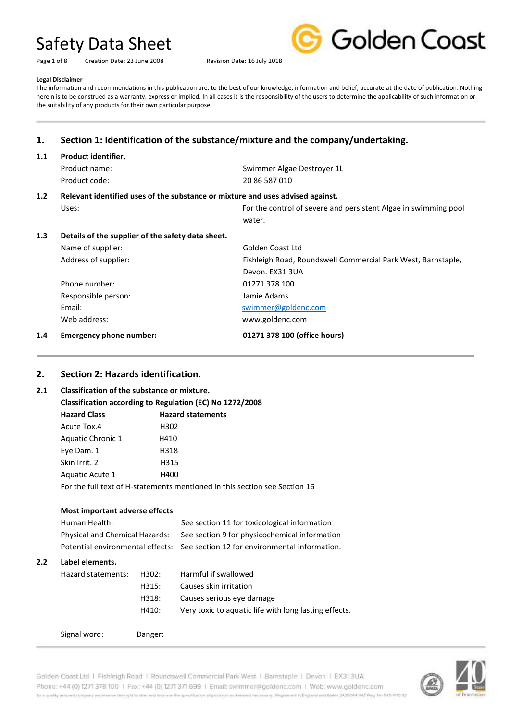Page 1 of 8 Creation Date: 23 June 2008 Revision Date: 16 July 2018



#### **Legal Disclaimer**

The information and recommendations in this publication are, to the best of our knowledge, information and belief, accurate at the date of publication. Nothing herein is to be construed as a warranty, express or implied. In all cases it is the responsibility of the users to determine the applicability of such information or the suitability of any products for their own particular purpose.

# **1. Section 1: Identification of the substance/mixture and the company/undertaking.**

#### **1.1 Product identifier.**

Product code: 20 86 587 010

Product name:  $\qquad \qquad$ Swimmer Algae Destroyer 1L

#### **1.2 Relevant identified uses of the substance or mixture and uses advised against.**

|     | Uses:                                             | For the control of severe and persistent Algae in swimming pool |
|-----|---------------------------------------------------|-----------------------------------------------------------------|
|     |                                                   | water.                                                          |
| 1.3 | Details of the supplier of the safety data sheet. |                                                                 |
|     | Name of supplier:                                 | Golden Coast Ltd                                                |
|     | Address of supplier:                              | Fishleigh Road, Roundswell Commercial Park West, Barnstaple,    |
|     |                                                   | Devon. EX31 3UA                                                 |
|     | Phone number:                                     | 01271 378 100                                                   |
|     | Responsible person:                               | Jamie Adams                                                     |
|     | Email:                                            | swimmer@goldenc.com                                             |
|     | Web address:                                      | www.goldenc.com                                                 |

#### **1.4 Emergency phone number: 01271 378 100 (office hours)**

# **2. Section 2: Hazards identification.**

#### **2.1 Classification of the substance or mixture.**

| Classification according to Regulation (EC) No 1272/2008                   |                          |  |  |
|----------------------------------------------------------------------------|--------------------------|--|--|
| <b>Hazard Class</b>                                                        | <b>Hazard statements</b> |  |  |
| Acute Tox.4                                                                | H302                     |  |  |
| Aquatic Chronic 1                                                          | H410                     |  |  |
| Eye Dam. 1                                                                 | H318                     |  |  |
| Skin Irrit. 2                                                              | H315                     |  |  |
| Aquatic Acute 1                                                            | H400                     |  |  |
| For the full text of H-statements mentioned in this section see Section 16 |                          |  |  |

| Most important adverse effects<br>Human Health:<br>Physical and Chemical Hazards:<br>Potential environmental effects: |                    |         | See section 11 for toxicological information<br>See section 9 for physicochemical information<br>See section 12 for environmental information. |  |
|-----------------------------------------------------------------------------------------------------------------------|--------------------|---------|------------------------------------------------------------------------------------------------------------------------------------------------|--|
|                                                                                                                       |                    |         |                                                                                                                                                |  |
| 2.2                                                                                                                   | Label elements.    |         |                                                                                                                                                |  |
|                                                                                                                       | Hazard statements: | H302:   | Harmful if swallowed                                                                                                                           |  |
|                                                                                                                       |                    | H315:   | Causes skin irritation                                                                                                                         |  |
|                                                                                                                       |                    | H318:   | Causes serious eye damage                                                                                                                      |  |
|                                                                                                                       |                    | H410:   | Very toxic to aquatic life with long lasting effects.                                                                                          |  |
|                                                                                                                       | Signal word:       | Danger: |                                                                                                                                                |  |

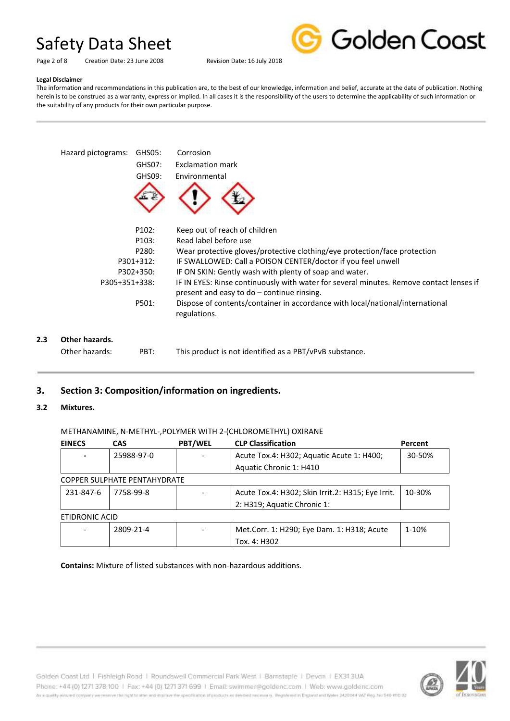

#### Page 2 of 8 Creation Date: 23 June 2008 Revision Date: 16 July 2018

#### **Legal Disclaimer**

The information and recommendations in this publication are, to the best of our knowledge, information and belief, accurate at the date of publication. Nothing herein is to be construed as a warranty, express or implied. In all cases it is the responsibility of the users to determine the applicability of such information or the suitability of any products for their own particular purpose.



### **3. Section 3: Composition/information on ingredients.**

#### **3.2 Mixtures.**

#### METHANAMINE, N-METHYL-,POLYMER WITH 2-(CHLOROMETHYL) OXIRANE

| <b>EINECS</b>  | <b>CAS</b>                   | <b>PBT/WEL</b> | <b>CLP Classification</b>                         | Percent |
|----------------|------------------------------|----------------|---------------------------------------------------|---------|
|                | 25988-97-0                   |                | Acute Tox.4: H302; Aquatic Acute 1: H400;         | 30-50%  |
|                |                              |                | Aquatic Chronic 1: H410                           |         |
|                | COPPER SULPHATE PENTAHYDRATE |                |                                                   |         |
| 231-847-6      | 7758-99-8                    |                | Acute Tox.4: H302; Skin Irrit.2: H315; Eye Irrit. | 10-30%  |
|                |                              |                | 2: H319; Aquatic Chronic 1:                       |         |
| ETIDRONIC ACID |                              |                |                                                   |         |
|                | 2809-21-4                    |                | Met.Corr. 1: H290; Eye Dam. 1: H318; Acute        | 1-10%   |
|                |                              |                | Tox. 4: H302                                      |         |

**Contains:** Mixture of listed substances with non-hazardous additions.

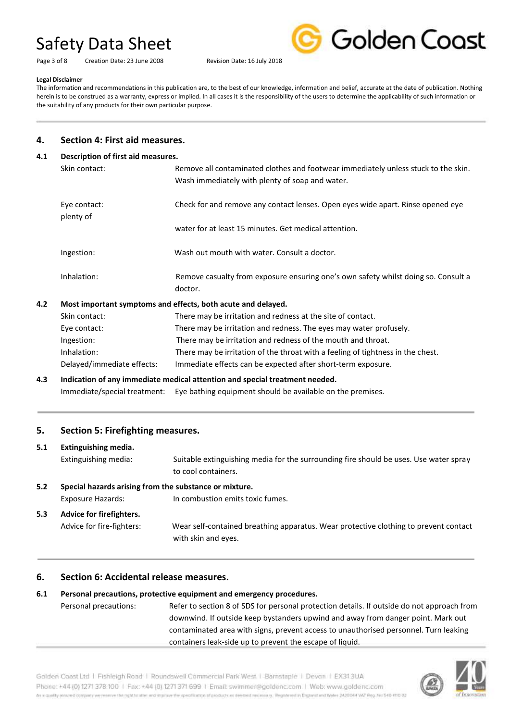Page 3 of 8 Creation Date: 23 June 2008 Revision Date: 16 July 2018



#### **Legal Disclaimer**

The information and recommendations in this publication are, to the best of our knowledge, information and belief, accurate at the date of publication. Nothing herein is to be construed as a warranty, express or implied. In all cases it is the responsibility of the users to determine the applicability of such information or the suitability of any products for their own particular purpose.

#### **4. Section 4: First aid measures.**

#### **4.1 Description of first aid measures.**

| Skin contact:             | Remove all contaminated clothes and footwear immediately unless stuck to the skin.<br>Wash immediately with plenty of soap and water. |
|---------------------------|---------------------------------------------------------------------------------------------------------------------------------------|
| Eye contact:<br>plenty of | Check for and remove any contact lenses. Open eyes wide apart. Rinse opened eye                                                       |
|                           | water for at least 15 minutes. Get medical attention.                                                                                 |
| Ingestion:                | Wash out mouth with water. Consult a doctor.                                                                                          |
| Inhalation:               | Remove casualty from exposure ensuring one's own safety whilst doing so. Consult a<br>doctor.                                         |

#### **4.2 Most important symptoms and effects, both acute and delayed.**

| Skin contact:              | There may be irritation and redness at the site of contact.                     |
|----------------------------|---------------------------------------------------------------------------------|
| Eye contact:               | There may be irritation and redness. The eyes may water profusely.              |
| Ingestion:                 | There may be irritation and redness of the mouth and throat.                    |
| Inhalation:                | There may be irritation of the throat with a feeling of tightness in the chest. |
| Delayed/immediate effects: | Immediate effects can be expected after short-term exposure.                    |

# **4.3 Indication of any immediate medical attention and special treatment needed.**

Immediate/special treatment: Eye bathing equipment should be available on the premises.

#### **5. Section 5: Firefighting measures.**

#### **5.1 Extinguishing media.**

Extinguishing media: Suitable extinguishing media for the surrounding fire should be uses. Use water spray to cool containers.

### **5.2 Special hazards arising from the substance or mixture.**

Exposure Hazards: In combustion emits toxic fumes.

# **5.3 Advice for firefighters.**

Advice for fire-fighters: Wear self-contained breathing apparatus. Wear protective clothing to prevent contact with skin and eyes.

### **6. Section 6: Accidental release measures.**

# **6.1 Personal precautions, protective equipment and emergency procedures.**

Personal precautions: Refer to section 8 of SDS for personal protection details. If outside do not approach from downwind. If outside keep bystanders upwind and away from danger point. Mark out contaminated area with signs, prevent access to unauthorised personnel. Turn leaking containers leak-side up to prevent the escape of liquid.

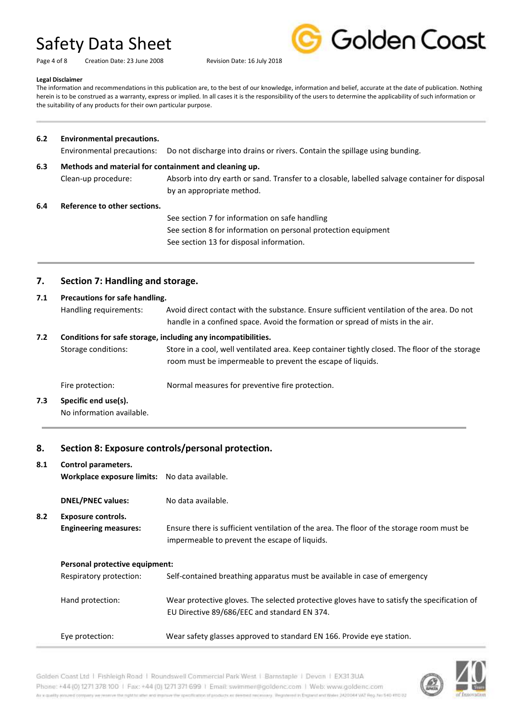Page 4 of 8 Creation Date: 23 June 2008 Revision Date: 16 July 2018



#### **Legal Disclaimer**

The information and recommendations in this publication are, to the best of our knowledge, information and belief, accurate at the date of publication. Nothing herein is to be construed as a warranty, express or implied. In all cases it is the responsibility of the users to determine the applicability of such information or the suitability of any products for their own particular purpose.

| 6.2                                    | <b>Environmental precautions.</b>                        |                                                                                                                                                              |  |
|----------------------------------------|----------------------------------------------------------|--------------------------------------------------------------------------------------------------------------------------------------------------------------|--|
|                                        | Environmental precautions:                               | Do not discharge into drains or rivers. Contain the spillage using bunding.                                                                                  |  |
| 6.3                                    | Methods and material for containment and cleaning up.    |                                                                                                                                                              |  |
|                                        | Clean-up procedure:                                      | Absorb into dry earth or sand. Transfer to a closable, labelled salvage container for disposal<br>by an appropriate method.                                  |  |
| 6.4                                    | Reference to other sections.                             |                                                                                                                                                              |  |
|                                        |                                                          | See section 7 for information on safe handling                                                                                                               |  |
|                                        |                                                          | See section 8 for information on personal protection equipment                                                                                               |  |
|                                        |                                                          | See section 13 for disposal information.                                                                                                                     |  |
| 7.<br>Section 7: Handling and storage. |                                                          |                                                                                                                                                              |  |
| 7.1                                    | Precautions for safe handling.<br>Handling requirements: | Avoid direct contact with the substance. Ensure sufficient ventilation of the area. Do not                                                                   |  |
|                                        |                                                          | handle in a confined space. Avoid the formation or spread of mists in the air.                                                                               |  |
| 7.2                                    |                                                          | Conditions for safe storage, including any incompatibilities.                                                                                                |  |
|                                        | Storage conditions:                                      | Store in a cool, well ventilated area. Keep container tightly closed. The floor of the storage<br>room must be impermeable to prevent the escape of liquids. |  |
|                                        | Fire protection:                                         | Normal measures for preventive fire protection.                                                                                                              |  |
| 7.3                                    | Specific end use(s).                                     |                                                                                                                                                              |  |

# **7.3 Specific end use(s).**

No information available.

# **8. Section 8: Exposure controls/personal protection.**

| 8.1 | Control parameters.<br>Workplace exposure limits: No data available. |                                                                                                                                             |
|-----|----------------------------------------------------------------------|---------------------------------------------------------------------------------------------------------------------------------------------|
|     | <b>DNEL/PNEC values:</b>                                             | No data available.                                                                                                                          |
| 8.2 | Exposure controls.                                                   |                                                                                                                                             |
|     | <b>Engineering measures:</b>                                         | Ensure there is sufficient ventilation of the area. The floor of the storage room must be<br>impermeable to prevent the escape of liquids.  |
|     | Personal protective equipment:                                       |                                                                                                                                             |
|     | Respiratory protection:                                              | Self-contained breathing apparatus must be available in case of emergency                                                                   |
|     | Hand protection:                                                     | Wear protective gloves. The selected protective gloves have to satisfy the specification of<br>EU Directive 89/686/EEC and standard EN 374. |
|     | Eye protection:                                                      | Wear safety glasses approved to standard EN 166. Provide eye station.                                                                       |

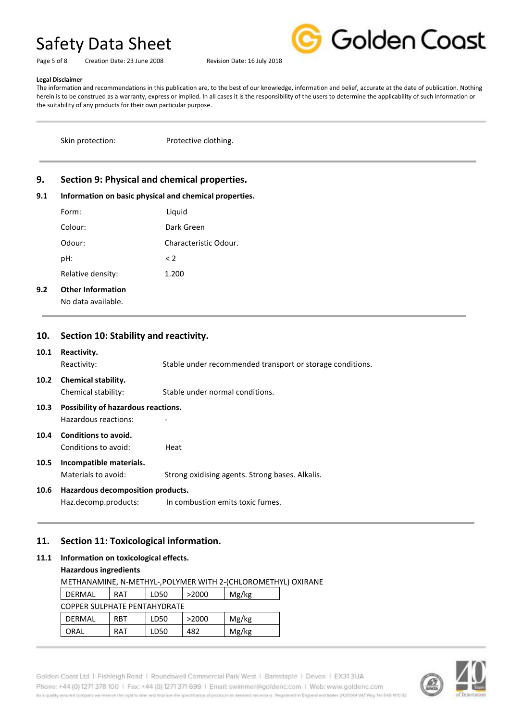Page 5 of 8 Creation Date: 23 June 2008 Revision Date: 16 July 2018



#### **Legal Disclaimer**

The information and recommendations in this publication are, to the best of our knowledge, information and belief, accurate at the date of publication. Nothing herein is to be construed as a warranty, express or implied. In all cases it is the responsibility of the users to determine the applicability of such information or the suitability of any products for their own particular purpose.

Skin protection: Protective clothing.

# **9. Section 9: Physical and chemical properties.**

#### **9.1 Information on basic physical and chemical properties.**

| Form:             | Liquid                |
|-------------------|-----------------------|
| Colour:           | Dark Green            |
| Odour:            | Characteristic Odour. |
| pH:               | $\leq$ 2              |
| Relative density: | 1.200                 |
|                   |                       |

### **9.2 Other Information**

No data available.

# **10. Section 10: Stability and reactivity.**

#### **10.1 Reactivity.**

Reactivity: Stable under recommended transport or storage conditions.

**10.2 Chemical stability.**

# Chemical stability: Stable under normal conditions.

- **10.3 Possibility of hazardous reactions.** Hazardous reactions: -
- **10.4 Conditions to avoid.** Conditions to avoid: Heat

# **10.5 Incompatible materials.**

Materials to avoid: Strong oxidising agents. Strong bases. Alkalis.

## **10.6 Hazardous decomposition products.**

Haz.decomp.products: In combustion emits toxic fumes.

# **11. Section 11: Toxicological information.**

## **11.1 Information on toxicological effects.**

#### **Hazardous ingredients**

METHANAMINE, N-METHYL-,POLYMER WITH 2-(CHLOROMETHYL) OXIRANE DERMAL RAT LD50 >2000 Mg/kg COPPER SULPHATE PENTAHYDRATE DERMAL RBT LD50 >2000 Mg/kg ORAL RAT LD50 482 Mg/kg

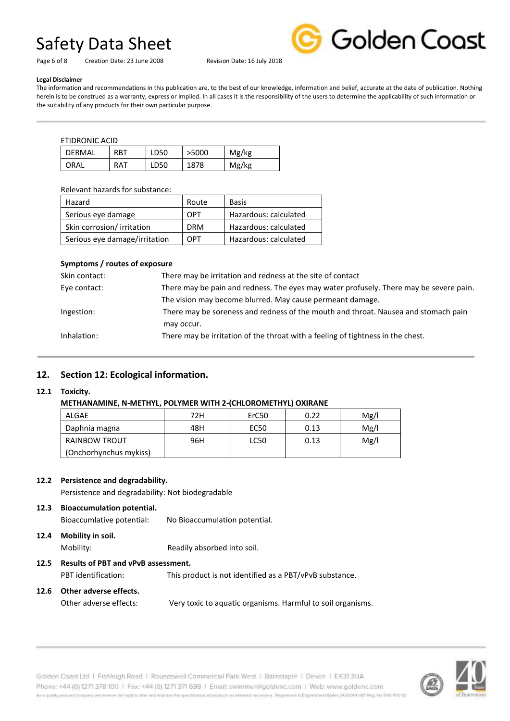Page 6 of 8 Creation Date: 23 June 2008 Revision Date: 16 July 2018



**Legal Disclaimer**

The information and recommendations in this publication are, to the best of our knowledge, information and belief, accurate at the date of publication. Nothing herein is to be construed as a warranty, express or implied. In all cases it is the responsibility of the users to determine the applicability of such information or the suitability of any products for their own particular purpose.

ETIDRONIC ACID

|        | _ _ _ _ _ . |      |       |       |  |
|--------|-------------|------|-------|-------|--|
| DFRMAL | <b>RBT</b>  | LD50 | >5000 | Mg/kg |  |
| ORAL   | RAT         | LD50 | 1878  | Mg/kg |  |

Relevant hazards for substance:

| Hazard                        | Route      | Basis                 |
|-------------------------------|------------|-----------------------|
| Serious eye damage            | OPT        | Hazardous: calculated |
| Skin corrosion/ irritation    | <b>DRM</b> | Hazardous: calculated |
| Serious eye damage/irritation | OPT        | Hazardous: calculated |

### **Symptoms / routes of exposure**

| Skin contact: | There may be irritation and redness at the site of contact                             |
|---------------|----------------------------------------------------------------------------------------|
| Eye contact:  | There may be pain and redness. The eyes may water profusely. There may be severe pain. |
|               | The vision may become blurred. May cause permeant damage.                              |
| Ingestion:    | There may be soreness and redness of the mouth and throat. Nausea and stomach pain     |
|               | may occur.                                                                             |
| Inhalation:   | There may be irritation of the throat with a feeling of tightness in the chest.        |

# **12. Section 12: Ecological information.**

#### **12.1 Toxicity.**

## **METHANAMINE, N-METHYL, POLYMER WITH 2-(CHLOROMETHYL) OXIRANE**

| ALGAE                  | 72H | ErC <sub>50</sub> | 0.22 | Mg/l |
|------------------------|-----|-------------------|------|------|
| Daphnia magna          | 48H | EC50              | 0.13 | Mg/l |
| RAINBOW TROUT          | 96H | LC50              | 0.13 | Mg/l |
| (Onchorhynchus mykiss) |     |                   |      |      |

#### **12.2 Persistence and degradability.**

Persistence and degradability: Not biodegradable

**12.3 Bioaccumulation potential.** Bioaccumlative potential: No Bioaccumulation potential.

# **12.4 Mobility in soil.** Mobility: Readily absorbed into soil.

- **12.5 Results of PBT and vPvB assessment.** PBT identification: This product is not identified as a PBT/vPvB substance.
- **12.6 Other adverse effects.**

Other adverse effects: Very toxic to aquatic organisms. Harmful to soil organisms.

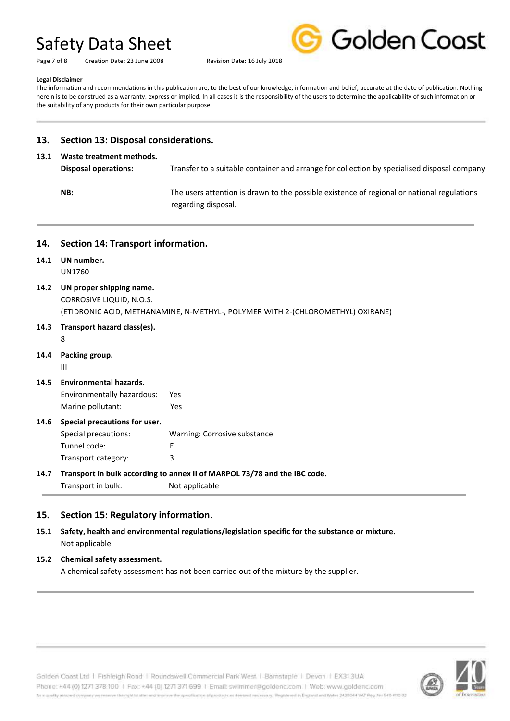|  | <b>Golden Coast</b> |  |
|--|---------------------|--|
|  |                     |  |

Page 7 of 8 Creation Date: 23 June 2008 Revision Date: 16 July 2018

#### **Legal Disclaimer**

The information and recommendations in this publication are, to the best of our knowledge, information and belief, accurate at the date of publication. Nothing herein is to be construed as a warranty, express or implied. In all cases it is the responsibility of the users to determine the applicability of such information or the suitability of any products for their own particular purpose.

### **13. Section 13: Disposal considerations.**

#### **13.1 Waste treatment methods.**

**Disposal operations:** Transfer to a suitable container and arrange for collection by specialised disposal company **NB:** The users attention is drawn to the possible existence of regional or national regulations regarding disposal.

**14. Section 14: Transport information. 14.1 UN number.** UN1760 **14.2 UN proper shipping name.** CORROSIVE LIQUID, N.O.S. (ETIDRONIC ACID; METHANAMINE, N-METHYL-, POLYMER WITH 2-(CHLOROMETHYL) OXIRANE) **14.3 Transport hazard class(es).** 8 **14.4 Packing group.** III **14.5 Environmental hazards.** Environmentally hazardous: Yes Marine pollutant: Yes **14.6 Special precautions for user.** Special precautions: Warning: Corrosive substance Tunnel code: E Transport category: 3 **14.7 Transport in bulk according to annex II of MARPOL 73/78 and the IBC code.** Transport in bulk: Not applicable

### **15. Section 15: Regulatory information.**

**15.1 Safety, health and environmental regulations/legislation specific for the substance or mixture.** Not applicable

#### **15.2 Chemical safety assessment.**

A chemical safety assessment has not been carried out of the mixture by the supplier.